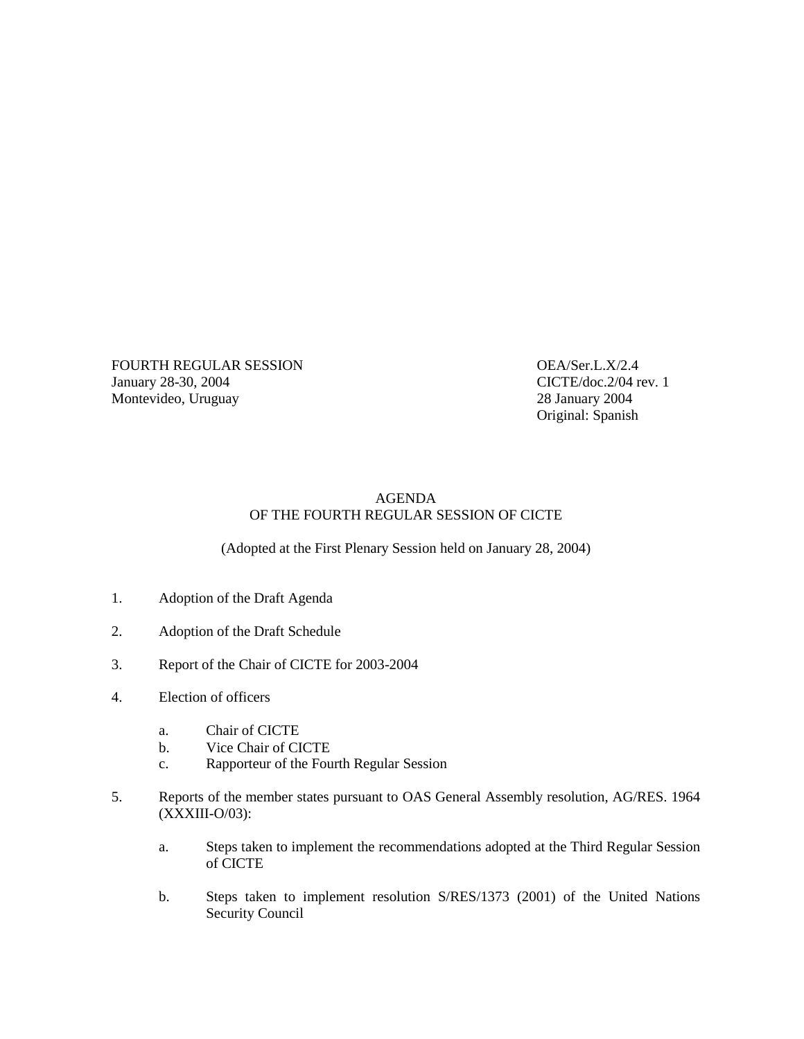FOURTH REGULAR SESSION OEA/Ser.L.X/2.4 January 28-30, 2004 CICTE/doc.2/04 rev. 1 Montevideo, Uruguay 28 January 2004

Original: Spanish

## AGENDA OF THE FOURTH REGULAR SESSION OF CICTE

(Adopted at the First Plenary Session held on January 28, 2004)

- 1. Adoption of the Draft Agenda
- 2. Adoption of the Draft Schedule
- 3. Report of the Chair of CICTE for 2003-2004
- 4. Election of officers
	- a. Chair of CICTE
	- b. Vice Chair of CICTE
	- c. Rapporteur of the Fourth Regular Session
- 5. Reports of the member states pursuant to OAS General Assembly resolution, AG/RES. 1964 (XXXIII-O/03):
	- a. Steps taken to implement the recommendations adopted at the Third Regular Session of CICTE
	- b. Steps taken to implement resolution S/RES/1373 (2001) of the United Nations Security Council